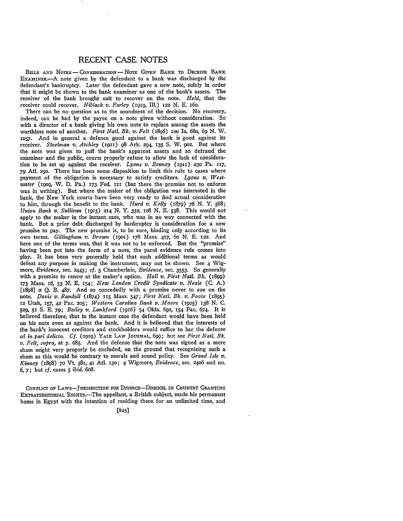## **RECENT CASE NOTES**

**BILLS AND NOTES -- CONSIDERATION -- NOTE GIVEN BANK TO DECEIVE BANK** EXAMINER.-A note given by the defendant to a bank was discharged by the defendant's bankruptcy. Later the defendant gave a new note, solely in order that it might be shown to the bank examiner as one of the bank's assets. The receiver of the bank brought suit to recover on the note. *Held,* that the receiver could recover. *Niblack v. Farley* (1919, Ill.) **122** N. E. 16o.

There can be no question as to the soundness of the decision. No recovery, indeed, can be had by the payee on a note given without consideration. So with a director of a bank giving his own note to replace among the assets the worthless note of another. *First Natl. Bk. v. Felt* (1896) Ioo Ia. 68o, *69* **N.** W. **io57.** And in general a defence good against the bank is good against its receiver. *Steelman v. Atchley (1911) 98* Ark. 294, **135** S. W. 902. But where the note was given to puff the bank's apparent assets and so defraud the examiner and the public, courts properly refuse to allow the lack of consideration to be set up against the receiver. *Lyons v. Benney* (1911) 23o Pa. **117,** *79* AtI. 25o. There has been some disposition to limit this rule to cases where payment of the obligation is necessary to satisfy creditors. *Lyons v. Westwater* (igog, W. D. Pa.) 173 Fed. III (but there the promise not to enforce was in writing). But where the maker of the obligation was interested in the bank, the New York courts have been very ready to find actual consideration to him, through the benefit to the bank. *Hurd v. Kelly* (1879) 78 N. Y. 588; *Union Bank v. Sullivan* (1915) **214** N. Y. **332,** io8 N. E. **558.** This would not apply to the maker in the instant case, who was in no way connected with the bank. But a prior debt discharged by bankruptcy is consideration for a new promise to pay. The new promise is, to be sure, binding only according to its own terms. *Gillingham v. Brown* (igoi) 178 Mass. 417, 6o N. E. 122. And here one of the terms was, that it was not to be enforced. But the "promise" having been put into the form of a note, the parol evidence rule comes into play. It has been very generally held that such additional terms as would defeat any purpose in making the instrument, may not be shown. See 4 Wigmore, *Evidence,* sec. 2443; *cf.* **5** Chamberlain, *Evidence,* sec. 3553. So generally with a promise to renew at the maker's option. *Hall v. First Natl. Bk.* (1899) **173** Mass. **16,** 53 *N.* E. 154; *New London Credit Syndicate v. Neale* (C. A.) **[1898]** 2 Q. B. 487. And so concededly with a promise never to sue on the note. *Davis v. Randall* (1874) 115 Mass. 547; *First Natl. Bk. v. Foote (1895)* 12 Utah, 157, 42 Pac. 2o5; *Western Carolina Bank v..Moore* (9o5) 138 N. C. **529,** 51 **S.** E. *79; Bailey v. Lankford* (1916) 54 Okla. *692,* 154 Pac. 674. It is believed therefore, that in the instant case the defendant would have been held on his note even as against the bank. And it is believed that the interests of the bank's innocent creditors and stockholders would suffice to bar the defense of *in pari delicto. Cf.* **(igg)** YALE LAW JOURNAL, **699;** but see *First Natl. Bk. v. Felt, supra,* at p. 685. And the defense that the note was signed as a mere sham might very properly be excluded, on the ground that recognizing such a sham as this would be contrary to morals and sound policy. See *Grand Isle v. Kinney* (1898) **70** Vt 381, 41 Atl. **130;** 4 Wigmore, *Evidence,* sec. 24o6 and nn. *6, 7;* but *cf.* cases 5 *ibid. 608.*

**CONFLICT OF** LAwS-JURISDIcTION **FOR DIVORcE-DomICiL IN COUNTRY GRANTING ExTRATERRITORIAL RIGHTS.-The** appellant, a British subject, made his permanent home in Egypt with the intention of residing there for an unlimited time, and

**[323]**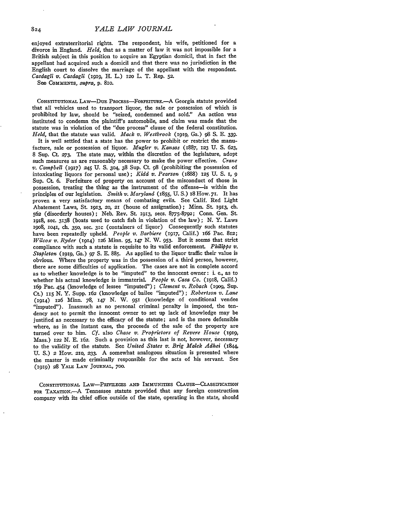enjoyed extraterritorial rights. The respondent, his wife, petitioned for a divorce in England. *Held,* that as a matter of law it was not impossible for a British subject in this position to acquire an Egyptian domicil, that in fact the appellant had acquired such a domicil and that there was no jurisdiction in the English court to dissolve the marriage of the appellant with the respondent. *Casdagli v. Casdagli* (igig, H. L.) **12o** L. T. Rep. **52.**

See **COMMENTS,** *supra,* **p.** 81o.

CONSTITUTIONAL LAW-DUE PROCESS-FORFEITURE.- A Georgia statute provided that all vehicles used to transport liquor, the sale or possession of which is prohibited by law, should be "seized, condemned and sold." An action was instituted to condemn the plaintiff's automobile, and claim was made that the statute was in violation of the "due process" clause of the federal constitution. *Held,* that the statute was valid. *Mack v. Westbrook* (I919, Ga.) **98** S. E. 339.

It is well settled that a state has the power to prohibit or restrict the manufacture, sale or possession of liquor. *Mugler v. Kansas* (1887, 123 U. S. 623, 8 Sup. Ct. *273.* The state may, within the discretion of the legislature, adopt such measures as are reasonably necessary to make the power effective. *Crane v. Campbell* (1917) 245 U. **S.** 304, 38 Sup. Ct. **98** (prohibiting the possession of intoxicating liquors for personal use) ; *Kidd v. Pearson* (1888) 125 U. S. 1, 9 Sup. Ct. 6. Forfeiture of property on account of the misconduct of those in possession, treating the thing as the instrument of the offense-is within the principles of our legislation. *Smith v. Maryland* (I855, U. S.) 18 How. 71. It has proven a very satisfactory means of combating evils. See Calif. Red Light Abatement Laws, St. 1913, 20, 21 (house of assignation); Minn. St. 1913, ch. 562 (disorderly houses); Neb. Rev. St 1913, secs. 8775-8792; Conn. Gen. St 1918, sec. 3138 (boats used to catch fish in violation of the law); N. Y. Laws 19o8, 1O41, ch. **350,** sec. 31c (containers of liquor) Consequently such statutes have been repeatedly upheld. *People v. Barbiere* (1917, Calif.) 166 Pac. 812; *Wilcox v. Ryder* (1914) 126 Minn. 95, 147 **N.** W. 953. But it seems that strict compliance with such a statute is requisite to its valid enforcement. *Philipps v. Stapleton* (1919, Ga.) 97 **S. E. 885.** As applied to the liquor traffic their value is obvious. Where the property was in the possession of a third person, however, there are some difficulties of application. The cases are not in complete accord as to whether knowledge is to be "imputed" to the innocent owner: i. e., as to whether his actual knowledge is immaterial. *People v. Casa Co.* (1918, Calif.) **<sup>169</sup>**Pac. 454 (knowledge of lessee "imputed"); *Clement v. Robach* (19o9, Sup. **Ct.)** 115 **N.** Y. Supp. 162 (knowledge of bailee "imputed"); *Robertson v. Lane* (1914) 126 Minn. 78, **147 N.** W. 951 (knowledge of conditional vendee "imputed"). Inasmuch as no personal criminal penalty is imposed, the tendency not to permit the innocent owner to set up lack of knowledge may be justified as necessary to the efficacy of the statute; and is the more defensible where, as in the instant case, the proceeds of the sale of the property are turned over to him. *Cf.* also *Chase v. Proprietors of Revere House* (1919, Mass.) 122 *N.* **E.** 162. Such a provision as this last is not, however, necessary to the validity of the statute. See *United States v. Brig Malek Adhei* (1844, **U. S.)** 2 How. 210, 233. A somewhat analogous situation is presented where the master is made criminally responsible for the acts of his servant See **(1919)** 28 YALE LAW **JOURNAL, 700.**

**CONSTITUTIONAL** LAw-PRIvILEGES **AND** IMMUNITIES **CLAUSE-CLASSIFICATION FOR** TAXATiON.-A Tennessee statute provided that any foreign construction company with its chief office outside of the state, operating in the state, should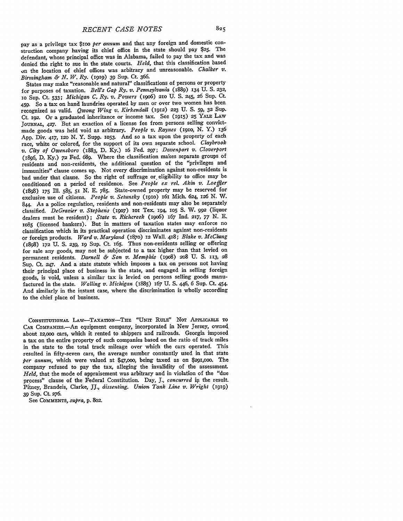pay as a privilege tax \$IOO *per annum* and that any foreign and domestic construction company having its chief office in the state should pay **\$25.** The defendant, whose principal office was in Alabama, failed to pay the tax and was denied the right to sue in the state courts. *Held,* that this classification based on the location of chief offices was arbitrary and unreasonable. *Chalker v. Birmingham & N. W. Ry.* (1919) 39 Sup. Ct. 366.

States may make "reasonable and natural" classifications of persons or property for purposes of taxation. *Bell's Gap Ry. v. Pennsylvania* (I889) 134 U. **S. 232, IO** Sup. Ct. 533; *Michigan C. Ry. v. Powers* (igo6) **210 U.** S. 245, **26** Sup. Ct. 459. So a tax on hand laundries operated by men or over two women has been recognized as valid. *Qwong Wing v. Kirkendall* (1912) **223** U. **S.** 59, **32** Sup. Ct. 192. Or a graduated inheritance or income tax. See (1915) **25** YxLz LAw **JouRNAL,** *427.* But an exaction of a license fee from persons selling convictmade goods was held void as arbitrary. *People v. Raynes* **(I91O, N.** Y.) 136 App. Div. 417, **12o** N. Y. Supp. **1053.** And so a tax upon the property of each race, white or colored, for the support of its own separate school. *Claybrook v. City of Owensboro* (1883, **D.** Ky.) 16 Fed. *297; Davenport v. Cloverport* (1896, **D. Ky.)** *72* Fed. **689.** Where the classification makes separate groups of residents and non-residents, the additional question of the "privileges and immunities" clause comes up. Not every discrimination against non-residents is bad under that clause. So the right of suffrage **or.** eligibility to office may be conditioned on a period of residence. See *People ex rel. Akin v. Loeffler* (1898) **I75** Ill. **585, 51** *N.* **E. 785.** State-owned property may be reserved for exclusive use of citizens. *People v. Setunsky* (i91o) 161 Mich. 624, **126 N.** W. 844. As a police regulation, residents and non-residents may also be separately classified. *DeGrazier v. Stephenis* **(19o7) 1O** Tex. I94, **1o5 S.** W. 992 (liquor dealers must be resident); *State v. Richcreek* (19o6) 167 Ind. **217,** 77 **N. E.** Io85 (licensed bankers). But in matters of taxation states may enforce no classification which in its practical operation discriminates against non-residents or foreign products. *Ward v. Maryland* **(187o)** 12 Wall. **418;** *Blake v. McClung* (i898) **172 U. S. 239,** ig Sup. **Ct. 165.** Thus non-residents selling or offering for sale any goods, may not be subjected to a tax higher than that levied on permanent residents. *Darnell & Son* **v.** *Memphis* (1908) **208 U. S.** 113, **28** Sup. **Ct. 247.** And a state statute which imposes a tax on persons not having their principal place of business in the state, and engaged in selling foreign goods, is void, unless a similar tax is levied on persons selling goods manufactured in the state. *Walling v. Michigan* (i885) **167 U. S.** 446, 6 Sup. Ct. 454. And similarly in the instant case, where the discrimination is wholly according to the chief place of business.

**CONsTTUTIIoNAL** LAWv-TAxATIoN-THE "UNIT RuLE" NOT **APPLICABLE TO** CAR COMPANIES.-An equipment company, incorporated in New Jersey, owned about **i2,ooo** cars, which it rented to shippers and railroads. Georgia imposed a tax on the entire property of such companies based on the ratio of track miles in the state to the total track mileage over which the cars operated. This resulted in fifty-seven cars, the average number constantly used in that state *per annum,* which were valued at **\$47,ooo,** being taxed as on **\$291,ooo.** The company refused to pay the tax, alleging the invalidity of the assessment. *Held,* that the mode of appraisement was arbitrary and in violation of the "due process" clause of the Federal Constitution. Day, **J.,** *concurred* ip the result. Pitney, Brandeis, Clarke, **JJ.,** *dissenting. Union Tank Line v. Wright (igig)* 39 Sup. Ct. **276.**

See **COMMENTS,** *supra,* **p. 8o2.**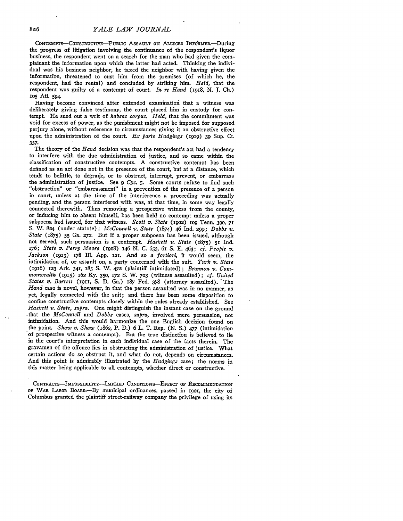CONTEMPTS-CONSTRUCTIVE-PUBLIC ASSAULT ON ALLEGED INFORMER.-During the progress of litigation involving the continuance of the respondent's liquor business, the respondent went on a search for the man who had given the com- plainant the information upon which the latter had acted. Thinking the individual was his business neighbor, he taxed the neighbor with having given the information, threatened to oust him from the premises **(of** which he, the respondent, had the rental) and concluded **by** striking him. *Held,* that the respondent was guilty of a contempt of court. *In re Hand* (I918, N. **J.** Ch.) **io5** At]. 594.

Having become convinced after extended examination that a witness was deliberately giving false testimony, the court placed him in custody for contempt. He sued out a writ of *habeas corpus. Held,* that the commitment was void for excess of power, as the punishment might not be imposed for supposed perjury alone, without reference to circumstances giving it an obstructive effect upon the administration of the court. *Ex parte Hudgings* (1919) **39** Sup. Ct. **337.**

The theory of the *Hand* decision was that the respondent's act had a tendency to interfere with the due administration of justice, and so came within the classification of constructive contempts. **A** constructive contempt has been defined as an act done not in the presence of the court, but at a distance, which tends to belittle, to degrade, or to obstruct, interrupt, prevent, or embarrass the administration of justice. See 9 *Cyc. 5.* Some courts refuse to find such "obstruction" or "embarrassment" in a prevention of the presence of a person in court, unless at the time of the interference a proceeding was actually pending, and the person interfered with was, at that time, in some way legally connected therewith. Thus removing a prospective witness from the county, or inducing him to absent himself, has been held no contempt unless a proper subpoena had issued, for that witness. *Scott v. State* **(19o2) 1O9** Tenn. **390, 71** S. W. 824 (under statute); *McConnell v. State* (1874) 46 Ind. *299; Dobbs v. State* (1875) **55** Ga. **272.** But if a proper subpoena has been issued, although not served, such persuasion is a contempt. Haskett v. State (1875) 51 Ind. *176; State v. Perry Moore* (i9o8) 146 N. C. *653, 6i* S. E. 463; *cf. People v. Jackson* (913) **178** Ill. App. **121.** And so *a fortiori,* it would seem, the intimidation of, or assault on, a party concerned with the suit. *Turk v. State* (i916) **123** Ark. 341, **I85** S. W. 472 (plaintiff intimidated); *Brannon v. Cominonwealth* (9r5) *62 K y.* **350, 172 S.** W. **703** (witness assaulted); *cf. United States v. Barrett* (1911, S. D. Ga.) 187 Fed. 378 (attorney assaulted). The *Hand* case is novel, however, in that the person assaulted was in no manner, as yet, legally connected with the suit; and there has been some disposition to confine constructive contempts closely within the rules already established. See *Haskett v. State, supra.* One might distinguish the instant case on the ground -that the *McConnell* and *Dobbs* cases, *supra,* involved mere persuasion, not intimidation. And this would harmonize the one English decision found on the point. *Shaw v. Shaw* (1862, P. D.) 6 L. T. Rep. *(N. S.)* 477 (intimidation of prospective witness a contempt). But the true distinction is believed to lie in the court's interpretation in each individual case of the facts therein. The gravamen of the offence lies in obstructing the administration of justice. What certain actions do so obstruct it, and what do not, depends on circumstances. And this point is admirably illustrated by the *Hudgings* case; the norms in this matter being applicable to all contempts, whether direct or constructive.

CONTRACTS-IMPOSSIBILITY-IMPLIED CONDITIONS-EFFECT OF RECOMMENDATION OF WAR LABOR BoA.--By municipal ordinances, passed in **19or,** the city of Columbus granted the plaintiff street-railway company the privilege of using its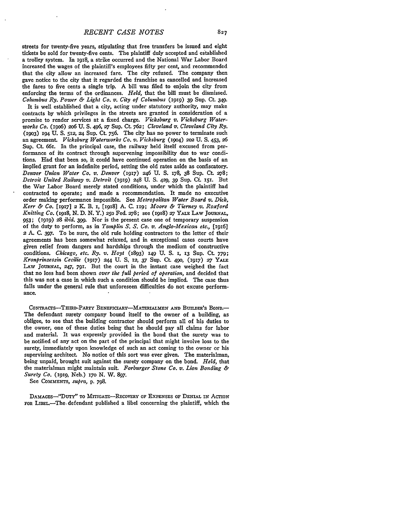streets for twenty-five years, stipulating that free transfers be issued and eight tickets be sold for twenty-five cents. The plaintiff duly accepted and established a trolley system. In i918, a strike occurred and the National War Labor Board increased the wages of the plaintiff's employees fifty per cent, and recommended that the city allow an increased fare. The city refused. The company then gave notice to the city that it regarded the franchise as cancelled and increased the fares to five cents a single trip. **A** bill was filed to enjoin the city from enforcing the terms of the ordinances. *Held,* that the bill must be dismissed. *Columbus Ry. Power & Light Co. v. City of Columbus* (I919) **39** Sup. Ct. **349.**

It is well established that a city, acting under statutory authority, may make contracts **by** which privileges in the streets are granted in consideration of a promise to render services at a fixed charge. *Vicksburg v. Vicksburg Waterworks Co.* (igo6) **2o6 U. S.** 496, **27** Sup. Ct. **762;** *Cleveland v. Cleveland City Ry.* (i9o3) 194 **U. S.** 512, **24** Sup. **Ct. 756.** The city has no power to terminate such an agreement. *Vicksburg Waterworks Co. v. Vicksburg* (19o4) **202 U. S.** 453, 26 Sup. Ct. **661.** In the principal case, the railway held itself excused from performance of its contract through supervening impossibility due to war conditions. Had that been so, it could have continued operation on the basis of an implied grant for an indefinite period, setting the old rates aside as confiscatory. *Denver Union Water Co. v. Denver* (1917) 246 Ui. **S.** i78, **38** Sup. **Ct. 278;** *Detroit United Railway v. Detroit* **(1919)** 248 U. S. 429, **39** Sup. Ct. **i5I.** But the War Labor Board merely stated conditions, under which the plaintiff had contracted to operate; and made a recommendation. It made no executive order making performance impossible. See *Metropolitan Water Board v. Dick, Kerr & Co.* **[1917]** 2 K. B. 1, [i918] **A. C. ii9;** *Moore & Tierney v. Roxford Knitting Co. (i918,* **N. D. N.** Y.) **250** Fed. **278;** see (xi918) **27** YALE LAw JOURNAL, **953; (i99i)** 28 *ibid. 399.* Nor is the present case one of temporary suspension of the duty to perform, as in *Tamplin S. S. Co. v. Anglo-Mexican etc.,* [i916] 2 **A.** *C.* **397.** To be sure, the old rule holding contractors to the letter of their agreements has been somewhat relaxed, and in exceptional cases courts have given relief from dangers and hardships through the medium of constructive conditions. *Chicago, etc. Ry. v. Hoyt* (1893) **149 U. S. i, 13 Sup.** Ct. **779;** *Kronprinzessin Cecilie* (1917) 244 **U. S, 12, 37 Sup.** Ct. **490, (1917) 27 YALE** LAW **JOURNAL,** 247, **791.** But the court in the instant case weighed the fact that no loss had been shown *over the full period of operation,* and decided that this was not a case in which such a condition should be implied. The case thus falls under the general rule that unforeseen difficulties do not excuse performance.

**CONTRACTs-THIRD-PARTY BENEFICIARY-MATERIALMEN AND BUILDER's** BoND;- The defendant surety company bound itself to the owner of a building, as obligee, to see that the building contractor should perform all of his duties to the owner, one of these duties being that he should pay all claims for labor and material. It was expressly provided in the bond that the surety was to be notified of any act on the part of the principal that might involve loss to the surety, immediately upon knowledge of such an act coming to the owner or his supervising architect. No notice of this sort was ever given. The materialman, being unpaid, brought suit against the surety company on the bond. *Held,* that the materialman might maintain suit. *Forburger Stone Co. v. Lion Bonding & Surety Co.* **(i919,** Neb.) **i7O** N. W. **897.**

See **COMMENTS,** *supra,* p. **798.**

**DAMAGES--"DUTY"** To MITIGATE-REcovERY OF **EXPENSES OF DENIAL IN** AcTiox **FOR** LmEL.-The. defendant published a libel concerning the plaintiff, which the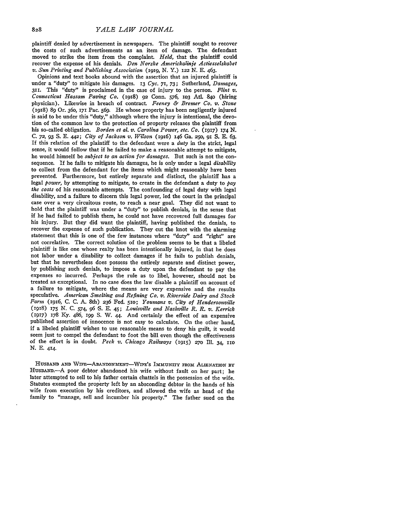plaintiff denied by advertisement in newspapers. The plaintiff sought to recover the costs of such advertisements as an item of damage. The defendant moved to strike the item from the complaint. *Held,* that the plaintiff could recover the expense of his denials. *Den Norske Americkalinje Actiesselskabet v. Sun Printing and Publishing Association* **(1919, N.** Y.) **122 N. E.** 463.

Opinions and text books abound with the assertion that an injured plaintiff is under a "duty" to mitigate his damages. **13** *Cyc. 71,* **73;** Sutherland, *Damages,* 311. This "duty" is proclaimed in the case of injury to the person. *Flint v. Connecticut Hassam Paving Co.* (1918) **92** Conn. 576, **1O3** At. **84o** (hiring physician). Likewise in breach of contract *Feeney & Bremer Co. v. Stone* (1918) **89** Or. 36o, *171* Pac. **569.** He whose property has been negligently injured is said to be under this "duty," although where the injury is intentional, the devotion of the common law to the protection of property releases the plaintiff from his so-called obligation. *Borden et al. v. Carolina Power, etc. Co.* **(1917)** 174 **N. C.** *72,* **93 S. E.** 442; *City of Jackson v. Wilson* (1916) 146 Ga. *250,* 91 **S. E.** *63.* If this relation of the plaintiff to the defendant were a *duty* in the strict, legal sense, it would follow that if he failed to make a reasonable attempt to mitigate, he would himself be *subject to an action for damages*. But such is not the consequence. If he fails to mitigate his damages, he is only under a legal *disability* to collect from the defendant for the items which might reasonably have been prevented. Furthermore, but entirely separate and distinct, the plaintiff has a legal *power,* **by** attempting to mitigate, to create in the defendant a duty to *pay the costs* of his reasonable attempts. The confounding of legal duty with legal disability, and a failure to discern this legal power, led the court in the principal case over a very circuitous route, to reach a near goal. They did not want to hold that the plaintiff was under a "duty" to publish denials, in the sense that if he had failed to publish them, he could not have recovered full damages for his injury. But they did want the plaintiff, having published the denials, to recover the expense of such publication. They cut the knot with the alarming statement that this is one of the few instances where "duty" and "right" are not correlative. The correct solution of the problem seems to be that a libeled plaintiff is like one whose realty has been intentionally injured, in that he does not labor under a disability to collect damages if he fails to publish denials, but that he nevertheless does possess the entirely separate and distinct power, **by** publishing such denials, to impose a duty upon the defendant to pay the expenses so incurred. Perhaps the rule as to libel, however, should not be treated as exceptional. In no case does the law disable a plaintiff on account of a failure to mitigate, where the means are very expensive and the results speculative. *American Smelting and Refining Co. v. Riverside Dairy and Stock Farm* (1916, **C. C. A.** 8th) **236** Fed. 51o; *Youmans v. City of Hendersonville* (x918) **175 N. C.** 574, *96 -S.* **E. 45;** *Louisville and Nashville R. R. v. Kerrick* (1917) **178 Ky.** 486, 199 **S.** W. **44.** And certainly the effect of an expensive published assertion of innocence is not easy to calculate. On the other hand, if a libeled plaintiff wishes to use reasonable means to deny his guilt, it would seem just to compel the defendant to foot the bill even though the effectiveness of the effort is in doubt. *Peck v. Chicago Railways* (915) **270** Ili. 34, **<sup>110</sup>** *N.* **E.** 414.

HUSBAND AND WIFE-ABANDONMENT-WIFE'S IMMUNITY FROM ALIENATION BY HuSBAND.-A poor debtor abandoned his wife without fault on her part; he later attempted to sell to his father certain chattels in the possession of the wife. Statutes exempted the property left **by** an absconding debtor in the hands of his wife from execution **by** his creditors, and allowed the wife as head of the family to "manage, sell and incumber his property." The father sued on the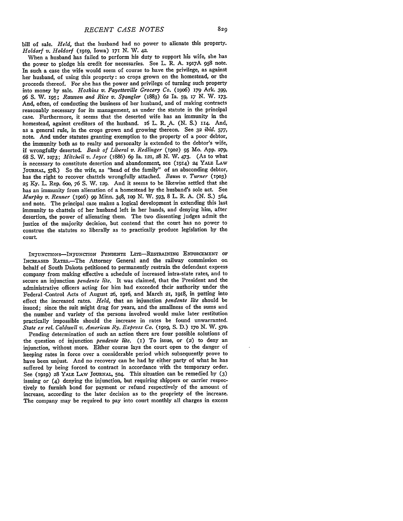bill of sale. *Held,* that the husband had no power to alienate this property. *Holdorf v. Holdorf* **(I919,** Iowa) *I71* **N.** W. 42.

When a husband has failed to perform his duty to support his wife, she has the power to pledge his credit for necessaries. See L. R. **A.** i9i7A **958** note. In such a case the wife would seem of course to have the privilege, as against her husband, of using this property: so crops grown on the homestead, or the proceeds thereof. For she has the power and privilege of turning such property into money **by** sale. *Hoskins v. Fayetteville Grocery Co.* (i9o6) '79 Ark. 399, **96 S.** W. 195; *Rawson and Rice v. Spangler* (1883) 62 Ia. 59, *17 N.* W. 173. And, often, of conducting the business of her husband, and of making contracts reasonably necessary for its management, as under the statute in the principal case. Furthermore, it seems that the deserted wife has an immunity in the homestead, against creditors of the husband. 16 L. R. A. **(N. S.)** 114. And, as a general rule, in the crops grown and growing thereon. See **32** *ibid. 577,* note. And under statutes granting exemption to the property of a poor debtor, the immunity both as to realty and personalty is extended to the debtor's wife, if wrongfully deserted. *Bank of Liberal v. Redlinger* (19o2) **95** Mo. **App. 279, 68 S.** W. *1073; Mitchell v. Joyce* (1886) *69* Ia. **121, 28** *N.* W. 473. (As to what is necessary to constitute desertion and abandonment, see (1914) **24 YAI.E** LAW **JOURNAL,** 578.) So the wife, as "head of the family" of an absconding debtor, has the right to recover chattels wrongfully attached. *Baun v. Turner* (19o3) **25** Ky. L. Rep. 600, 76 **S.** W. **129.** And it seems to be likewise settled that she has an immunity from alienation of a homestead **by** the husband's sole act. See *Murphy v. Renner* (19o6) 99 Minn. 348, iog N. W. 593, 8 L. R. A. (N. S.) 564, and note. The principal case makes a logical development in extending this last immunity to chattels of her husband left in her hands, and denying him, after desertion, the power of alienating them. The two dissenting judges admit the justice of the majority decision, but contend that the court has no power to construe the statutes so liberally as to practically produce legislation **by** the court.

INJUNCTIONS-INJUNCTION PENDENTE LITE-RESTRAINING ENFORCEMENT OF INCREASED RATEs-The Attorney General and the railway commission on behalf of South Dakota petitioned to permanently restrain the defendant express company from making effective a schedule of increased intra-state rates, and to secure an injunction *pendente lite.* It was claimed, that the President and the administrative officers acting for him had exceeded their authority under the Federal -Control Acts of August 26, 1916, and March **21,** 1918, in putting into effect the increased rates. *Held,* that an injunction *pendente lite* should be issued; since the suit might drag for years, and the smallness of the sums and the number and variety of the persons involved would make later restitution practically impossible should the increase in rates be found unwarranted. *State ex rel. Caldwell v. American Ry. Express Co.* **(1919, S. D.) 17o N.** W. **570.**

Pending determination of such an action there are four possible solutions of the question of injunction *pendente lite.* **(i)** To issue, or **(2)** to deny an injunction, without more. Either course lays the court open to the danger of keeping rates in force over a considerable period which subsequently prove to have been unjust. And no recovery can be had **by** either party of what he has suffered **by** being forced to contract in accordance with the temporary order. See **(1919) 28** YALE LAW **JOURNAL,** 5o4 This situation can be remedied **by (3)** issuing or (4) denying the injunction, but requiring shippers or carrier respectively to furnish bond for payment or refund respectively of the amount of increase, according to the later decision as to the propriety of the increase. The company may be required to pay into court monthly all charges in excess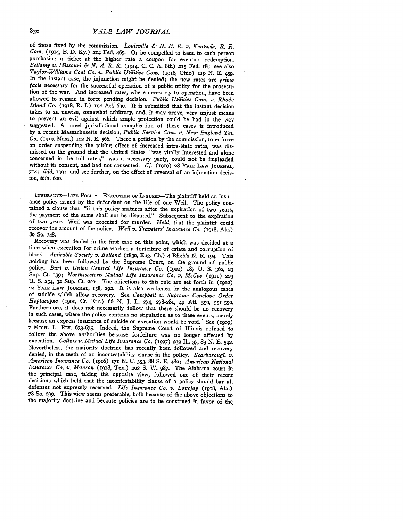of those fixed by the commission. *Louirville & N. R. R. v. Kentucky R. R. Com.* (1914, E. D. Ky.) **214** Fed. 465. Or be compelled to issue to each person purchasing a ticket at the higher rate a coupon for eventual redemption. *Bellamy v. Missouri & N. A. R. R.* (I9x4, **C. C. A.** 8th) *215* Fed. 18; see also *Taylor-Williams Coal Co. v. Public Utilities Com.* (I918, Ohio) i19 *N.* E. 459. In the instant case, the injunction might be denied; the new rates are *prima facie* necessary for the successful operation of a public utility for the prosecution of the war. And increased rates, where necessary to operation, have been allowed to remain in force pending decision. *Public Utilities Com. v. Rhode Island Co.* (1918, R. I.) 104 Atl. 690. It is submitted that the instant decision takes to an unwise, somewhat arbitrary, and, it may prove, very unjust means to prevent an evil against which ample protection could be had in the way suggested. A novel jurisdictional complication of these cases is introduced by a recent Massachusetts decision, *Public Service Com. v. New England Tel.* an order suspending the taking effect of increased intra-state rates, was dismissed on the ground that the United States "was vitally interested and alone concerned in the toll rates," was a necessary party, could not be impleaded without its consent, and had not consented. *Cf.* **(igig)** 28 YALE LAw JouRNAL, 714; *ibid.* i99; and see further, on the effect of reversal of an injunction decision, *ibid.* 6oo.

INSURANCE—LIFE POLICY—EXECUTION OF INSURED—The plaintiff held an insurance policy issued by the defendant on the life of one Weil. The policy contained a clause that "if this policy matures after the expiration of two year the payment of the same shall not be disputed." Subsequent to the expiration of two years, Weil was executed for murder. *Held*, that the plaintiff could recover the amount of the policy. *Weil v. Travelers' Insurance Co.* **8o** So. 348.

Recovery was denied in the first case on this point, which was decided at a time when execution for crime worked a forfeiture of estate and corruption of blood. *Amicable Society v. Bolland* (183o, Eng. Ch.) 4 Bligh's **N.** R. i94. This holding has been followed by the Supreme Court, on the ground of public policy. *Burt v. Union Central Life Insurance Co.* (19o2) 187 U. **S. 362, 23** Sup. **Ct. 139;** *Northwestern Mutual'Life Insurance Co. v. McCue* (1911) **223** U. S. 234, 32 Sup. Ct. 220. The objections to this rule are set forth in (I912) 22 YALE LAW JOURNAL, 158, 292. It is also weakened by the analogous cases of suicide which allow recovery. See *Campbell v. Supreme Conclave Order Heptasophs* (igoi, Ct. Err.) *66 N.* **J.** L. 274, **278-281, 49** Atl. **550, 551-552.** Furthermore, it does not necessarily follow that there should be no recovery in such cases, where the policy contains no stipulation as to these events, merely because an express insurance of suicide or execution would be void. See (io9) **<sup>7</sup>**MicH. L. REv. 673-675. Indeed, the Supreme Court of Illinois refused to follow the above authorities because forfeiture was no longer affected by execution. *Collins v. Mutual Life Insurance Co. (19o7)* **232** Ill. **37,** 83 **N. E.** 542. Nevertheless, the majority doctrine has recently been followed and recovery denied, in the teeth of an incontestability clause in the policy. *Scarborough v. American Insurance Co.* (1916) 171 N. C. 353, 88 S. E. 482; *Am Insurance Co. v. Munson* (1918, Tex.) **202 S.** W. 987. The Alabama court in the principal case, taking the opposite view, followed one of their recent decisions which held that the incontestability clause of a policy should bar all defenses not expressly reserved. *Life Insurance Co. v. Lovejoy* **(1918,** Ala.) 78 So. 299. This view seems preferable, both because of the above objections to the majority doctrine and because policies are to be construed in favor of the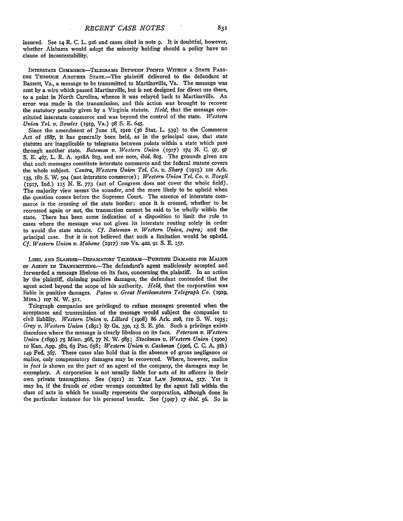insured. See **14** R. **C.** L. **926** and cases cited in note **9.** It is doubtful, however, whether Alabama would adopt the minority holding should a policy have no clause of incontestability.

INTERSTATE **COmmERCE-TELEGRAmS** BETWEEN POINTS WITHIN **A STATE** PASS-**ING** THROUGH ANOTHER STATE.-The plaintiff delivered to the defendant at Bassett, Va., a message to be transmitted to Martinsvile, Va. The message was sent **by** a wire which passed Martinsville, but is not designed for direct use there, to a point in North Carolina, whence it was relayed back to Martinsville. An error was made in the transmission, and this action was brought to recover the statutory penalty given **by** a Virginia statute. *Held,* that the message constituted interstate commerce and was beyond the control of the state. *Western Union Tel. v. Bowles* **(i919,** Va.) **98 S.** E. 645.

Since the amendment of June 18, i9po (36 Stat. L. **539)** to the Commerce Act of 1887, it has generally been held, as in the principal case, that state statutes are inapplicable to telegrams between points within a state which pass through another state. *Bateman v. Western Union* (1917) 174 **N.** C. *97, 97* **S.** E. 467, L. *IL* A. 19i8A 803, and see note, *ibid.* 805. The grounds given are that such messages constitute interstate commerce and the federal statute covers the whole subject. *Contra, Western Union Tel. Co. v. Sharp* (I915) **121** Ark. 135, **180 S.** W. 504 (not interstate commerce); *Western Union Tel. Co. v. Boegli* (1917, Ind.) **115** N. E. 773 (act of Congress does not cover the whole field). The majority view seems the sounder, and the more likely to be upheld when the question comes before the Supreme Court. The esserice of interstate commerce is the crossing of the state border; once it is crossed, whether to be recrossed again or not, the transaction cannot be said to be wholly within the state. There has been some indication of a disposition to limit the rule to cases where the message was not given its interstate routing solely in order to avoid the state statute. *Cf. Bateman v. Western Union, supra;* and the principal case. But it is not believed that such a limitation would be upheld. *Cf. Western Union v. Mahone* (917) i2o Va. **422,9i** S. E. 157.

LIBEL **AND** SLANDER-DEFAMATORY TELEGRAM-PuNITIVE DAMAGES **FOR** MALIcE of AGENT IN TRANSMITTING.-The defendant's agent maliciously accepted and forwarded a message libelous on its face, concerning the plaintiff. In an action **by** the plaintiff, claiming punitive damages, the defendant contended that the agent acted beyond the scope of his authority. *Held,* that the corporation was liable in punitive damages. *Paton v. Great Northwestern Telegraph Co. (igig,* Minn.) io7 N. W. **51i.**

Telegraph companies are privileged to refuse messages presented when the acceptance and transmission of the message would subject the companies to civil liability. *Western Union v'. Lillard* (i9o8) 86 Ark 208, **110 S.** W. **1035;** *Gray v. Western Union* (I89I) 87 Ga. **350, 13 S.** E. 562. Such a privilege exists therefore where the message is clearly libelous on its face. *Peterson v. Western Union (i899) 75* Minn. 368, 77 N. W. **9851** *Stockman v. Western Union* (igoo) io Kan. App. 58o, 63 Pac. 658; *Western Union v. Cashman* (i9o6, C. C. A. 5th) **149** Fed. 367. These cases also hold that in the absence of gross negligence or malice, only compensatory damages may be recovered. Where, however, malice in *fact* is shown on the part of an agent of the company, the damages may be exemplary. A corporation is not usually liable for acts of its officers in their own private transaqtions. See **(1911) 21 YArE LAw** JoURNAL, 517. Yet it may be, if the frauds or other wrongs committed **by** the agent fall within the class of acts in which he usually represents the corporation, although done in the particular instance for his personal benefit. See Q(o7) **17** *ibid. 56.* So in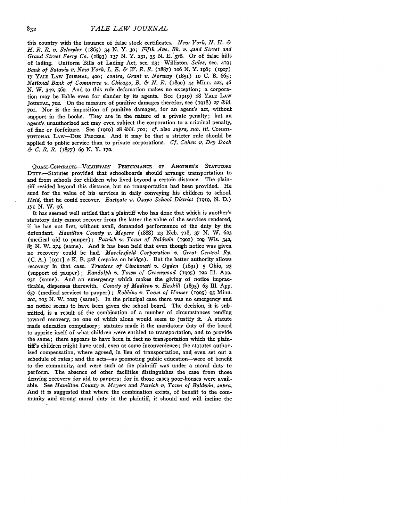this country with the issuance of false stock certificates. *New York, N. H. & H. R. R. v. Schuyler* (1865) 34 **N.** Y. **30;** *Fifth Ave. Bk. v. 42nd Street and Grand Street Ferry Co.* (1893) 137 N. Y. *231,* 33 N. E. 378. Or of false bills of lading. Uniform Bills of Lading Act, sec. **23;** Williston, *Sales,* sec. 419; *Bank of Batavia v. New York, L. E. & W. R. R.* (1887) io6 N. Y. 196; (igo7) 17 YALE LAW **JOURNAL,** 400; *contra, Grant v. Norway* (1851) io C. B. 665; *National Bank of Commerce v. Chicago, B. & N. R.* (i8go) 44 Minn. **2z4,** 46 N. W. 342, 56o. And to this rule defamation makes no exception; a corporation may be liable even for slander by its agents. See **(1919)** 28 YALE LAW JOURNAL, 702. On the measure of punitive damages therefor, see (1918) *27 ibid.* 7oi. Nor is the imposition of punitive damages, for an agent's act, without support in the books. They are in the nature of a private penalty; but an agent's unauthorized act may even subject the corporation to a criminal penalty, of fine or forfeiture. See **(1919) 28** *ibid.* **700;** *cf.* also *supra, sub. tit.* **CONSTI-TUTIONAL** LAw-DUE PRocEss. And it may be that a stricter rule should be applied to public service than to private corporations. *Cf. Cohen v. Dry Dock & C. R. R.* (1877) *69 N.* Y. **17o.**

**QUASI-CONTRACTS-VOLUNTARY PERFORMANCE** OF **ANOTHER'S STATUTORY** DUTY.-Statutes provided that schoolboards should arrange transportation to and from schools for children who lived beyond a certain distance. The plaintiff resided beyond this distance, but no transportation had been provided. He sued for the value of his services in daily conveying his, children to school. *Held,* that he could recover. *Eastgate v. Osayo School District* **(I919,** N. D.) *171* N. W. *96.*

It has seemed well settled that a plaintiff who has done that which is another's statutory duty cannot recover from the latter the value of the services rendered, if he has not first, without avail, demanded performance of the duty by the defendant *Hamilton County v. Meyers* (1888) **23** Neb. 718, 37 N. W. **623** (medical aid to pauper); *Patrick v. Town of Baldwin* (1901) 109 Wis. 342, 85 **N.** W. *274* (same). And it has been held that even though notice was given no recovery could be had. *Macclesfield Corporation v. Great Central Ry.* (C. A.) [1911] **2** *K.* B. 528 (repairs on bridge). But the better authority allows recovery in that case. *Trustees of Cincinnati v. Ogden* **(1831) 5** Ohio, **23** (support of pauper); *Randolph v. Town of Greenwood* (i9o5) 12 Ill. App. 231 (same). And an emergency which makes the giving of notice impracticable, dispenses therewith. *County of Madison v. Haskill* (1895) 63 Ill. App. 657 (medical services to pauper); *Robbins v. Town of Homer* (igo5) **95** Minn. **201, 1o3** N. W. iO23 (same). In the principal case there was no emergency and no notice seems to have been given the school board. The decision, it is submitted, is a result of the combination of a number of circumstances tending toward recovery, no one of which alone would seem to justify it A statute made education compulsory; statutes made it the mandatory duty of the board to apprise itself of what children were entitled to transportation, and to provide the same; there appears to have been in fact no transportation which the plaintiff's children might have used, even at some inconvenience; the statutes authorized compensation, where agreed, in lieu of transportation, and even set out a schedule of rates; and the acts-as promoting public education-were of benefit to the community, and were such as the plaintiff was under a moral duty to perform. The absence of other facilities distinguishes the case from those denying recovery for aid to paupers; for in those cases poor-houses were available. See *Hamilton County v. Meyers* and *Patrick v. Town of Baldwin, supra.* And it is suggested that where the combination exists, of benefit to the community and strong moral duty in the plaintiff, it should and will incline the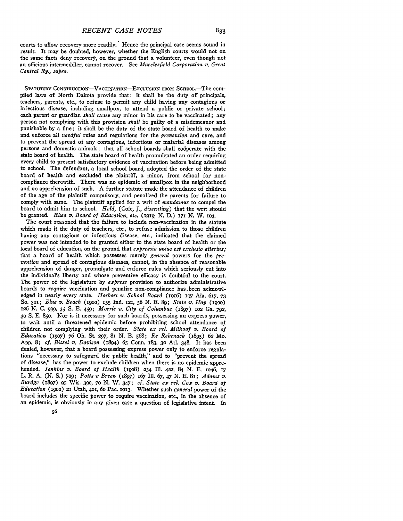courts to allow recovery more readily. Hence the principal case seems sound in result. It may be doubted, however, whether the English courts would not on the same facts deny recovery, on the ground that a volunteer, even though not an officious intermeddler, cannot recover. See *Macclesfield Corporation v. Great Central Ry., supra.*

STATUTORY CONSTRUCTION-VACCINATION-EXCLUSION FROM SCHOOL.-The compiled laws of North Dakota provide that: it shall be the duty **of\*** principals, teachers, parents, etc., to refuse to permit any child having any contagious or infectious disease, including smallpox, to attend a public or private school; each parent or guardian *shall* cause any minor in his care to be vaccinated; any person not complying with this provision *shall* be guilty of a misdemeanor and punishable by a fine; it shall be the duty of the state board of health to make and enforce all *needful* rules and regulations for the *prevention* and cure, and to prevent the spread of any contagious, infectious or malarial diseases among persons and domestic animals; that all school boards shall coöperate with the state board of health. The state board of health promulgated an order requiring every child to present satisfactory evidence of vaccination before being admitted to school. The defendant, a local school board, adopted the order of the state board of health and excluded the plaintiff, a minor, from school for noncompliance therewith. There was no epidemic of smallpox in the neighborhood and no apprehension of such. **A** further statute made the attendance of children of the age of the plaintiff compulsory, and penalized the parents for failure to comply with same. The plaintiff applied for a writ of *mandamus* to compel the board to admit him to school. *Held,* (Cole, **J.,** *dissenting)* that the writ should be granted. *Rhea v. Board of Education, etc.* **(xpi, N. D.) I7i N.** W. **1o3.**

The court reasoned that the failure to include non-vaccination in the statute which made it the duty of teachers, etc., to refuse admission to those children having any contagious or infectious disease, etc., indicated that the claimed power was not intended to be granted either to the state board of health or the local board of education, on the ground that *expressio unius est exclusio alterius;* that a board of health which possesses merely *general* powers for the *prevention* and spread of contagious diseases, cannot, in the absence of reasonable apprehension of danger, promulgate and enforce rules which seriously cut into the individual's liberty and whose preventive efficacy is doubtful to the court. The power of the legislature **by** *express* provision to authorize administrative boards to *require* vaccination and penalize non-compliance has.been acknowledged in nearly every state. *Herbert v. School Board* (I9I6) *197* Ala. 617, **73** So. **321;** *Blue v. Beach* (igoo) **155** Ind. **12, 56 N. E. 89;** *State v. Hay* (igoo) **126** N. C. 999, **35 S. E.** 459; *Morris v. City of Columbus* (1897) *io2* **Ga.** *792,* **3o S. E.** 85o. Nor is it necessary for such boards, possessing an express power, to wait until a threatened epidemic before prohibiting school attendance of children not complying with their order. *State ex rel. Milhoof v. Board of Education (I9o7) 76* Oh. St. *297,* 8i **N. E. 568;** *Re Rebenack* (i895) **62** Mo. **App. 8;** *cf. Bissel v. Davison* (1894) **65** Conn. 183, **32** Atl. 348. It has been denied, however, that a board possessing express power only to enforce regulations "necessary to safeguard the public health," and to "prevent the spread of disease," has the power to exclude children when there is no epidemic apprehended. *Jenkins v. Board of Health* **(1908)** 234 Ill. **422,** 84 N. **E.** io46, **17** L. R. A. (N. S.) 709; Potts v Breen (1897) 167 Ill. 67, 47 N. E. 81; Adams v. Burdge (1897) 95 Wis. 390, 70 N. W. 347; cf. State ex rel. Cox v. Board of *Education (1900)* **21** Utah, **4oI,** 6o Pac. **ioi3.** Whether such *general* power of the board includes the specific power to require vaccination, etc., in the absence of an epidemic, is obviously in any given case a question of legislative intent. In